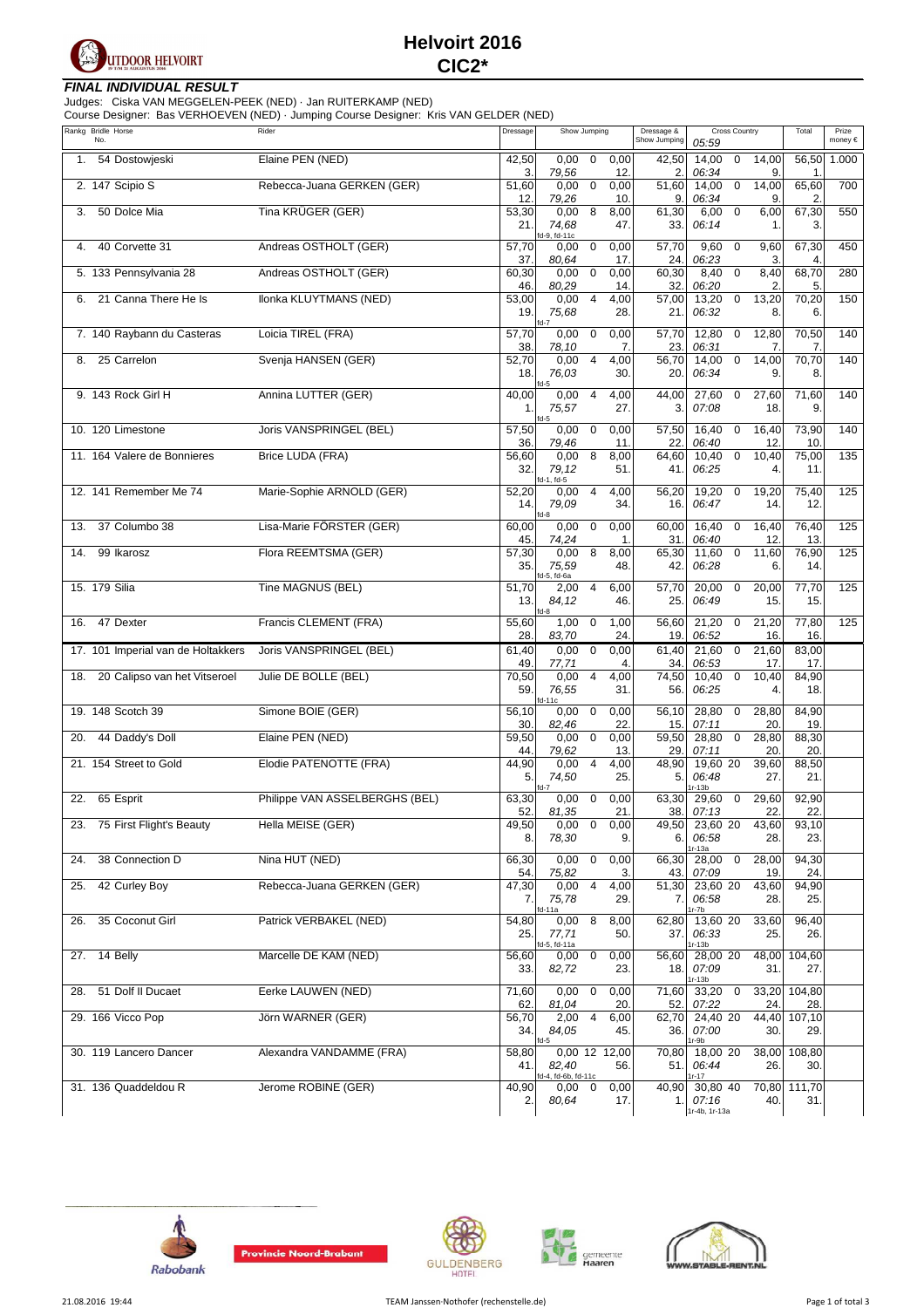

# **Helvoirt 2016 CIC2\***

### **FINAL INDIVIDUAL RESULT**

Judges: Ciska VAN MEGGELEN-PEEK (NED) · Jan RUITERKAMP (NED) Course Designer: Bas VERHOEVEN (NED) · Jumping Course Designer: Kris VAN GELDER (NED)

| Rankg Bridle Horse                  | Course Designer. Das VERTIOLVER (NED) · Jumping Course Designer. Kils VAN OLLDER (NED)<br>Rider | Dressage            |                              |                         |                      |                            |                                    |                         |                   | Total             | Prize   |
|-------------------------------------|-------------------------------------------------------------------------------------------------|---------------------|------------------------------|-------------------------|----------------------|----------------------------|------------------------------------|-------------------------|-------------------|-------------------|---------|
| No.                                 |                                                                                                 |                     | Show Jumping                 |                         |                      | Dressage &<br>Show Jumping | 05:59                              | <b>Cross Country</b>    |                   |                   | money € |
| 54 Dostowjeski<br>1.                | Elaine PEN (NED)                                                                                | 42,50<br>3.         | 0,00<br>79,56                | $\mathbf 0$             | 0,00<br>12.          | 42,50<br>2.                | 14,00<br>06:34                     | $\mathbf 0$             | 14,00<br>9.       | 56,50<br>1.       | 1.000   |
| 2. 147 Scipio S                     | Rebecca-Juana GERKEN (GER)                                                                      | 51,60               | 0,00                         | $\mathbf 0$             | 0,00                 | 51,60                      | 14,00                              | $\mathbf 0$             | 14,00             | 65,60             | 700     |
| 50 Dolce Mia<br>3.                  | Tina KRÜGER (GER)                                                                               | 12.<br>53,30<br>21. | 79,26<br>0,00<br>74,68       | 8                       | 10.<br>8,00<br>47.   | 9<br>61,30<br>33.          | 06:34<br>6,00<br>06:14             | $\pmb{0}$               | 9.<br>6,00<br>1.  | 2.<br>67,30<br>3. | 550     |
| 40 Corvette 31<br>4.                | Andreas OSTHOLT (GER)                                                                           | 57,70               | d-9, fd-11c<br>0,00          | $\mathbf 0$             | 0,00                 | 57,70                      | 9,60                               | $\mathbf 0$             | 9,60              | 67,30             | 450     |
| 5. 133 Pennsylvania 28              | Andreas OSTHOLT (GER)                                                                           | 37.<br>60,30        | 80,64<br>0,00                | $\mathbf 0$             | 17.<br>0,00          | 24.<br>60,30               | 06:23<br>8,40                      | $\mathbf 0$             | 3.<br>8,40        | 4.<br>68,70       | 280     |
| 21 Canna There He Is<br>6.          | Ilonka KLUYTMANS (NED)                                                                          | 46.<br>53,00<br>19. | 80,29<br>0,00<br>75,68       | $\overline{4}$          | 14.<br>4,00<br>28.   | 32.<br>57,00<br>21.        | 06:20<br>13,20<br>06:32            | $\mathbf 0$             | 2.<br>13,20<br>8. | 5.<br>70,20<br>6. | 150     |
| 7. 140 Raybann du Casteras          | Loicia TIREL (FRA)                                                                              | 57,70<br>38.        | fd-7<br>0,00<br>78,10        | $\mathbf 0$             | 0,00<br>7.           | 57,70<br>23.               | 12,80<br>06:31                     | $\mathbf 0$             | 12,80<br>7.       | 70,50<br>7.       | 140     |
| 25 Carrelon<br>8.                   | Svenja HANSEN (GER)                                                                             | 52,70<br>18.        | 0,00<br>76,03<br>fd-5        | $\overline{4}$          | 4,00<br>30.          | 56,70<br>20.               | 14,00<br>06:34                     | $\mathbf 0$             | 14,00<br>9.       | 70,70<br>8.       | 140     |
| 9. 143 Rock Girl H                  | Annina LUTTER (GER)                                                                             | 40,00<br>1.         | 0,00<br>75,57<br>fd-5        | $\overline{4}$          | 4,00<br>27.          | 44,00<br>3.                | 27,60<br>07:08                     | $\mathbf 0$             | 27,60<br>18       | 71,60<br>9.       | 140     |
| 10. 120 Limestone                   | Joris VANSPRINGEL (BEL)                                                                         | 57,50<br>36.        | 0,00<br>79,46                | $\mathbf 0$             | 0,00<br>11.          | 57,50<br>22.               | 16,40<br>06:40                     | $\mathbf 0$             | 16,40<br>12.      | 73,90<br>10.      | 140     |
| 11. 164 Valere de Bonnieres         | Brice LUDA (FRA)                                                                                | 56,60<br>32.        | 0,00<br>79,12<br>d-1, fd-5   | 8                       | 8,00<br>51.          | 64,60<br>41.               | 10,40<br>06:25                     | $\mathbf 0$             | 10,40<br>4.       | 75,00<br>11.      | 135     |
| 12. 141 Remember Me 74              | Marie-Sophie ARNOLD (GER)                                                                       | 52,20<br>14.        | 0,00<br>79,09                | $\overline{4}$          | 4,00<br>34.          | 56,20<br>16.               | 19,20<br>06:47                     | $\mathbf 0$             | 19,20<br>14.      | 75,40<br>12.      | 125     |
| 37 Columbo 38<br>13.                | Lisa-Marie FÖRSTER (GER)                                                                        | 60,00               | d-8<br>0,00                  | $\mathbf 0$             | 0,00                 | 60,00                      | 16,40                              | $\mathbf 0$             | 16,40             | 76,40             | 125     |
| 99 Ikarosz<br>14.                   | Flora REEMTSMA (GER)                                                                            | 45.<br>57,30        | 74,24<br>0,00                | 8                       | 1.<br>8,00           | 31.<br>65,30               | 06:40<br>11,60                     | $\mathbf 0$             | 12.<br>11,60      | 13.<br>76,90      | 125     |
|                                     |                                                                                                 | 35.                 | 75,59<br>d-5, fd-6a          |                         | 48.                  | 42.                        | 06:28                              |                         | 6.                | 14.               |         |
| 15. 179 Silia                       | Tine MAGNUS (BEL)                                                                               | 51,70<br>13.        | 2,00<br>84,12<br>fd-8        | $\overline{4}$          | 6,00<br>46.          | 57,70<br>25.               | 20,00<br>06:49                     | $\mathbf 0$             | 20,00<br>15.      | 77,70<br>15.      | 125     |
| 47 Dexter<br>16.                    | Francis CLEMENT (FRA)                                                                           | 55,60<br>28.        | 1,00<br>83,70                | $\mathbf 0$             | 1,00<br>24.          | 56,60<br>19                | 21,20<br>06:52                     | $\mathbf 0$             | 21,20<br>16.      | 77,80<br>16.      | 125     |
| 17. 101 Imperial van de Holtakkers  | Joris VANSPRINGEL (BEL)                                                                         | 61,40<br>49.        | 0,00<br>77,71                | $\mathbf 0$             | 0,00<br>4.           | 61,40<br>34.               | 21,60<br>06:53                     | $\mathbf 0$             | 21,60<br>17.      | 83,00<br>17.      |         |
| 20 Calipso van het Vitseroel<br>18. | Julie DE BOLLE (BEL)                                                                            | 70,50<br>59.        | 0,00<br>76,55<br>d-11c       | $\overline{4}$          | 4,00<br>31.          | 74,50<br>56.               | 10,40<br>06:25                     | $\mathbf 0$             | 10,40<br>4.       | 84,90<br>18.      |         |
| 19. 148 Scotch 39                   | Simone BOIE (GER)                                                                               | 56,10<br>30.        | 0,00<br>82,46                | $\mathbf 0$             | 0,00<br>22.          | 56,10<br>15.               | 28,80<br>07:11                     | $\mathbf 0$             | 28,80<br>20.      | 84,90<br>19.      |         |
| 44 Daddy's Doll<br>20.              | Elaine PEN (NED)                                                                                | 59,50<br>44.        | 0,00<br>79,62                | $\mathbf 0$             | 0,00<br>13.          | 59,50<br>29.               | 28,80<br>07:11                     | $\mathbf 0$             | 28,80<br>20.      | 88,30<br>20.      |         |
| 21. 154 Street to Gold              | Elodie PATENOTTE (FRA)                                                                          | 44,90<br>5.         | 0,00<br>74,50                | $\overline{4}$          | 4,00<br>25.          | 48,90<br>5.                | 19,60 20<br>06:48                  |                         | 39,60<br>27.      | 88,50<br>21.      |         |
| 22. 65 Esprit                       | Philippe VAN ASSELBERGHS (BEL)                                                                  | 63,30<br>52.        | d-7<br>0,00                  | $\mathbf 0$             | 0,00                 | 63,30                      | $r-13b$<br>29,60                   | $\overline{\mathbf{0}}$ | 29,60             | 92,90<br>22.      |         |
| 23. 75 First Flight's Beauty        | Hella MEISE (GER)                                                                               | 49,50               | 81,35<br>0,00                | $\mathbf 0$             | 21.<br>0,00          | 38.<br>49,50               | 07:13<br>23,60 20                  |                         | 22.<br>43,60      | 93,10             |         |
| 38 Connection D<br>24.              | Nina HUT (NED)                                                                                  | 8.<br>66,30         | 78,30<br>0,00                | $\mathbf 0$             | 9.<br>0,00           | 6.<br>66,30                | 06:58<br>$r-13a$<br>28,00          | $\mathbf 0$             | 28.<br>28,00      | 23.<br>94,30      |         |
| 42 Curley Boy<br>25.                | Rebecca-Juana GERKEN (GER)                                                                      | 54.<br>47,30        | 75,82<br>0,00                | $\overline{4}$          | 3.<br>4,00           | 43.<br>51,30               | 07:09<br>23,60 20                  |                         | 19.<br>43,60      | 24.<br>94,90      |         |
|                                     |                                                                                                 | 7.                  | 75,78<br>d-11a               |                         | 29.                  | 7.                         | 06:58<br>r-7b                      |                         | 28.               | 25.               |         |
| 35 Coconut Girl<br>26.              | Patrick VERBAKEL (NED)                                                                          | 54,80<br>25.        | 0,00<br>77,71<br>d-5, fd-11a | 8                       | 8,00<br>50.          | 62,80<br>37.               | 13,60 20<br>06:33<br>$r-13b$       |                         | 33,60<br>25.      | 96,40<br>26.      |         |
| 14 Belly<br>27.                     | Marcelle DE KAM (NED)                                                                           | 56,60<br>33.        | 0,00<br>82,72                | $\mathbf 0$             | 0,00<br>23.          | 56,60<br>18.               | 28,00 20<br>07:09<br>$r-13b$       |                         | 48,00<br>31.      | 104,60<br>27.     |         |
| 51 Dolf II Ducaet<br>28.            | Eerke LAUWEN (NED)                                                                              | 71,60<br>62.        | 0,00<br>81,04                | $\mathbf 0$             | 0,00<br>20.          | 71,60<br>52.               | 33,20<br>07:22                     | $\mathbf 0$             | 33,20<br>24.      | 104,80<br>28.     |         |
| 29. 166 Vicco Pop                   | Jörn WARNER (GER)                                                                               | 56,70<br>34.        | 2,00<br>84,05<br>$nd-5$      | $\overline{\mathbf{4}}$ | 6,00<br>45.          | 62,70<br>36.               | $24,40$ 20<br>07:00<br>r-9b        |                         | 44,40<br>30.      | 107,10<br>29.     |         |
| 30. 119 Lancero Dancer              | Alexandra VANDAMME (FRA)                                                                        | 58,80<br>41.        | 82,40<br>d-4, fd-6b, fd-11c  |                         | 0,00 12 12,00<br>56. | 70,80<br>51.               | 18,00 20<br>06:44<br>$r - 17$      |                         | 38,00<br>26.      | 108,80<br>30.     |         |
| 31. 136 Quaddeldou R                | Jerome ROBINE (GER)                                                                             | 40,90<br>2.         | 0,00<br>80,64                | 0                       | 0,00<br>17.          | 40,90<br>1.                | 30,80 40<br>07:16<br>Ir-4b, 1r-13a |                         | 70,80<br>40.      | 111,70<br>31.     |         |









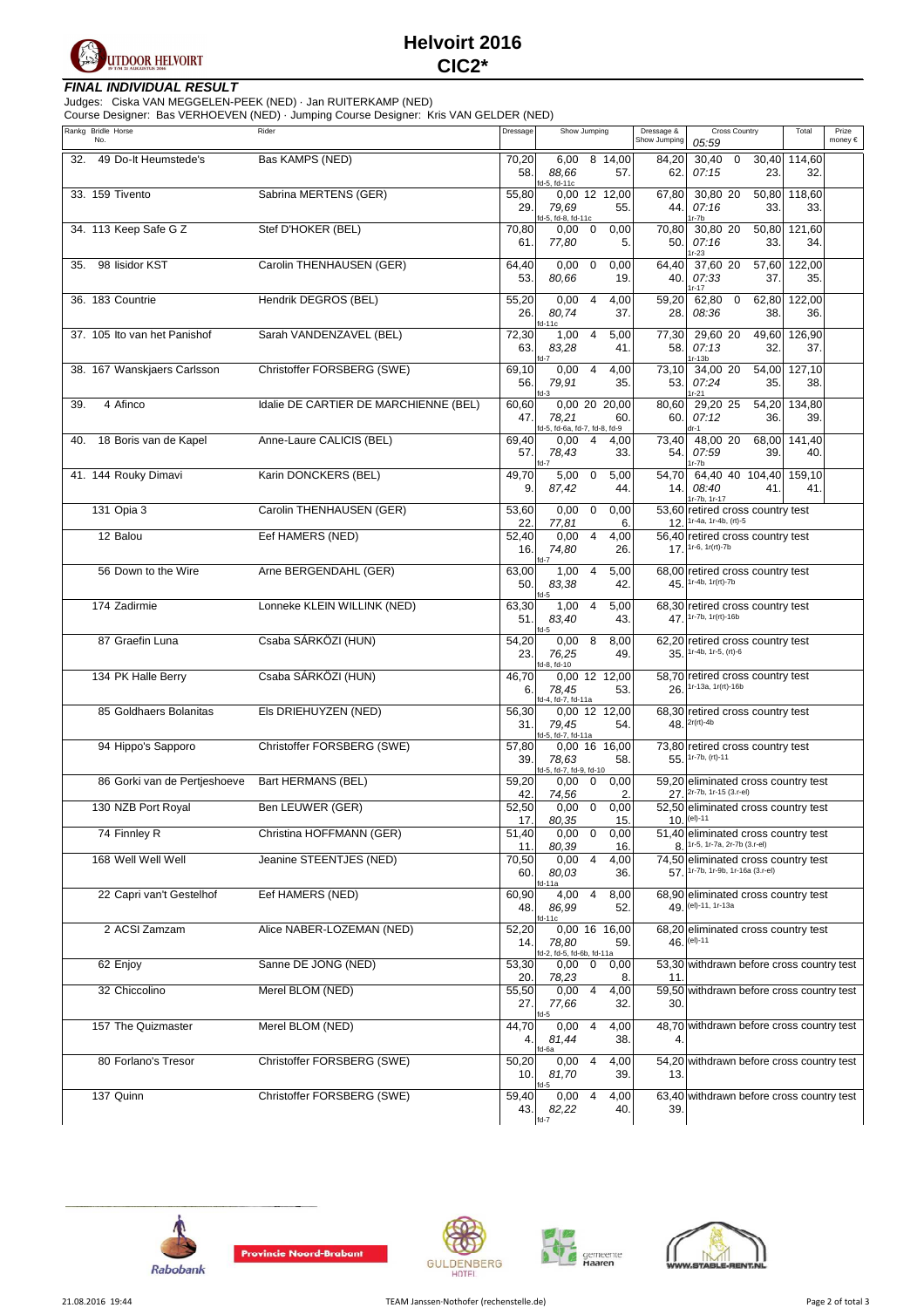

#### **FINAL INDIVIDUAL RESULT**

Judges: Ciska VAN MEGGELEN-PEEK (NED) · Jan RUITERKAMP (NED) Course Designer: Bas VERHOEVEN (NED) · Jumping Course Designer: Kris VAN GELDER (NED)

| $\frac{1}{2}$<br>Rankg Bridle Horse<br>No. | $I = 5$ , camping soarce Boorgnon. This with SEE<br>Rider | Dressage            | Show Jumping                                                            | Dressage &<br>Show Jumping | <b>Cross Country</b><br>05:59                                                                           | Total         | Prize<br>money € |
|--------------------------------------------|-----------------------------------------------------------|---------------------|-------------------------------------------------------------------------|----------------------------|---------------------------------------------------------------------------------------------------------|---------------|------------------|
| 32. 49 Do-It Heumstede's                   | Bas KAMPS (NED)                                           | 70,20<br>58.        | 6,00 8 14,00<br>88,66<br>57.<br>d-5, fd-11c                             | 84,20<br>62.               | 30,40<br>30,40<br>$\mathbf 0$<br>07:15<br>23.                                                           | 114,60<br>32. |                  |
| 33. 159 Tivento                            | Sabrina MERTENS (GER)                                     | 55,80<br>29.        | 0,00 12 12,00<br>79.69<br>55.<br>d-5, fd-8, fd-11c                      | 67,80<br>44.               | 30,80 20<br>50,80<br>07:16<br>33.<br>$1r-7b$                                                            | 118,60<br>33. |                  |
| 34. 113 Keep Safe G Z                      | Stef D'HOKER (BEL)                                        | 70,80<br>61.        | 0,00<br>$\overline{0}$<br>0,00<br>77,80<br>5.                           | 70,80<br>50.               | 50,80<br>30,80 20<br>07:16<br>33.<br>$1r-23$                                                            | 121,60<br>34. |                  |
| 98 lisidor KST<br>35.                      | Carolin THENHAUSEN (GER)                                  | 64,40<br>53.        | 0,00<br>$\mathbf 0$<br>0,00<br>80.66<br>19.                             | 64,40<br>40.               | 37,60 20<br>57,60<br>07:33<br>37.<br>$1r - 17$                                                          | 122,00<br>35. |                  |
| 36. 183 Countrie                           | Hendrik DEGROS (BEL)                                      | 55,20<br>26.        | 0,00<br>$\overline{4}$<br>4,00<br>80,74<br>37.<br>fd-11c                | 59,20<br>28.               | 62,80<br>$\overline{0}$<br>62,80<br>08:36<br>38.                                                        | 122,00<br>36. |                  |
| 37. 105 Ito van het Panishof               | Sarah VANDENZAVEL (BEL)                                   | 72,30<br>63.        | 1,00<br>5,00<br>$\overline{4}$<br>83,28<br>41.<br>fd-7                  | 77,30<br>58.               | 29,60 20<br>49,60<br>07:13<br>32.<br>$1r-13b$                                                           | 126,90<br>37. |                  |
| 38. 167 Wanskjaers Carlsson                | Christoffer FORSBERG (SWE)                                | 69,10<br>56.        | $\overline{4}$<br>0,00<br>4,00<br>79,91<br>35.<br>fd-3                  | 73,10<br>53.               | 34,00 20<br>54,00<br>07:24<br>35.<br>$1r-21$                                                            | 127,10<br>38. |                  |
| 4 Afinco<br>39.                            | Idalie DE CARTIER DE MARCHIENNE (BEL)                     | 60,60<br>47.        | 0,00 20 20,00<br>78,21<br>60.<br>fd-5, fd-6a, fd-7, fd-8, fd-9          | 80,60<br>60.               | 29,20 25<br>54,20<br>07:12<br>36.<br>dr-1                                                               | 134,80<br>39. |                  |
| 18 Boris van de Kapel<br>40.               | Anne-Laure CALICIS (BEL)                                  | 69,40<br>57.        | $0,00 \quad 4$<br>4,00<br>78,43<br>33.<br>fd-7                          | 73,40<br>54.               | 48,00 20<br>68,00<br>07:59<br>39.<br>1r-7b                                                              | 141,40<br>40. |                  |
| 41. 144 Rouky Dimavi                       | Karin DONCKERS (BEL)                                      | 49,70<br>9.         | $5,00 \quad 0$<br>5,00<br>87,42<br>44.                                  | 54,70<br>14.               | 64,40 40 104,40<br>08:40<br>41.<br>1r-7b, 1r-17                                                         | 159,10<br>41. |                  |
| 131 Opia 3                                 | Carolin THENHAUSEN (GER)                                  | 53,60<br>22.        | 0,00<br>$\mathbf 0$<br>0,00<br>77,81<br>6.                              |                            | 53,60 retired cross country test<br>12. 1r-4a, 1r-4b, (rt)-5                                            |               |                  |
| 12 Balou                                   | Eef HAMERS (NED)                                          | 52,40<br>16.        | 0,00<br>$\overline{4}$<br>4,00<br>74,80<br>26.<br>fd-7                  |                            | 56,40 retired cross country test<br>$17.1r-6.1r(rt) - 7b$                                               |               |                  |
| 56 Down to the Wire                        | Arne BERGENDAHL (GER)                                     | 63,00<br>50.        | 1,00<br>$\overline{4}$<br>5,00<br>83,38<br>42.<br>fd-5                  |                            | 68,00 retired cross country test<br>45. 1r-4b, 1r(rt)-7b                                                |               |                  |
| 174 Zadirmie                               | Lonneke KLEIN WILLINK (NED)                               | 63,30<br>51.        | 1,00<br>$\overline{4}$<br>5,00<br>83,40<br>43.<br>$f$ d-5               |                            | 68,30 retired cross country test<br>47. 1r-7b, 1r(rt)-16b                                               |               |                  |
| 87 Graefin Luna                            | Csaba SÁRKÖZI (HUN)                                       | 54,20<br>23.        | 0,00<br>8<br>8,00<br>76,25<br>49.<br>d-8, fd-10                         |                            | 62,20 retired cross country test<br>35. 1r-4b, 1r-5, (rt)-6                                             |               |                  |
| 134 PK Halle Berry                         | Csaba SÁRKÖZI (HUN)                                       | 46,70<br>6.         | 0,00 12 12,00<br>78,45<br>53.<br>id-4, fd-7, fd-11a                     |                            | 58,70 retired cross country test<br>$26.1r-13a, 1r(rt)-16b$                                             |               |                  |
| 85 Goldhaers Bolanitas                     | Els DRIEHUYZEN (NED)                                      | 56,30<br>31.        | 0,00 12 12,00<br>79,45<br>54.<br>fd-5, fd-7, fd-11a                     |                            | 68,30 retired cross country test<br>$48.2r(rt) - 4b$                                                    |               |                  |
| 94 Hippo's Sapporo                         | Christoffer FORSBERG (SWE)                                | 57,80<br>39.        | 0,00 16 16,00<br>78,63<br>58.<br>fd-5, fd-7, fd-9, fd-10                |                            | 73,80 retired cross country test<br>55. 1r-7b, (rt)-11                                                  |               |                  |
| 86 Gorki van de Pertjeshoeve               | Bart HERMANS (BEL)                                        | 59,20<br>42.        | 0,00<br>0,00<br>$\mathbf 0$<br>74,56<br>2.                              |                            | 59.20 eliminated cross country test<br>27. 2r-7b, 1r-15 (3.r-el)                                        |               |                  |
| 130 NZB Port Royal                         | Ben LEUWER (GER)                                          | 52,50               | $0,00 \quad 0$<br>0,00                                                  |                            | 52,50 eliminated cross country test<br>$10.$ (el)-11                                                    |               |                  |
| 74 Finnley R                               | Christina HOFFMANN (GER)                                  | 17.<br>51,40        | 80,35<br>15.<br>0,00<br>0<br>0,00                                       |                            | 51,40 eliminated cross country test                                                                     |               |                  |
| 168 Well Well Well                         | Jeanine STEENTJES (NED)                                   | 11.<br>70,50<br>60. | 80,39<br>16.<br>$\overline{\mathbf{4}}$<br>0,00<br>4,00<br>80,03<br>36. | 8.                         | 1r-5, 1r-7a, 2r-7b (3.r-el)<br>74,50 eliminated cross country test<br>57. 1r-7b, 1r-9b, 1r-16a (3.r-el) |               |                  |
| 22 Capri van't Gestelhof                   | Eef HAMERS (NED)                                          | 60,90<br>48.        | fd-11a<br>4,00<br>4<br>8,00<br>86,99<br>52.                             |                            | 68,90 eliminated cross country test<br>49. (el)-11, 1r-13a                                              |               |                  |
| 2 ACSI Zamzam                              | Alice NABER-LOZEMAN (NED)                                 | 52,20<br>14.        | $fd-11c$<br>0,00 16 16,00<br>78,80<br>59.                               |                            | 68,20 eliminated cross country test<br>46. (el)-11                                                      |               |                  |
| 62 Enjoy                                   | Sanne DE JONG (NED)                                       | 53,30               | d-2, fd-5, fd-6b, fd-11a<br>0,00<br>$\overline{0}$<br>0,00              |                            | 53,30 withdrawn before cross country test                                                               |               |                  |
| 32 Chiccolino                              | Merel BLOM (NED)                                          | 20.<br>55,50<br>27. | 78,23<br>8.<br>0,00<br>$\overline{a}$<br>4,00<br>77,66<br>32.           | 11.<br>30.                 | 59,50 withdrawn before cross country test                                                               |               |                  |
| 157 The Quizmaster                         | Merel BLOM (NED)                                          | 44,70<br>4.         | fd-5<br>$\overline{4}$<br>0,00<br>4,00<br>81,44<br>38.                  | 48,70<br>4.                | withdrawn before cross country test                                                                     |               |                  |
| 80 Forlano's Tresor                        | Christoffer FORSBERG (SWE)                                | 50,20<br>10.        | d-6a<br>0,00<br>4<br>4,00<br>39.<br>81,70                               | 13.                        | 54,20 withdrawn before cross country test                                                               |               |                  |
| 137 Quinn                                  | Christoffer FORSBERG (SWE)                                | 59,40<br>43.        | fd-5<br>0,00<br>4<br>4,00<br>82,22<br>40.<br>$fd-7$                     | 39.                        | 63,40 withdrawn before cross country test                                                               |               |                  |